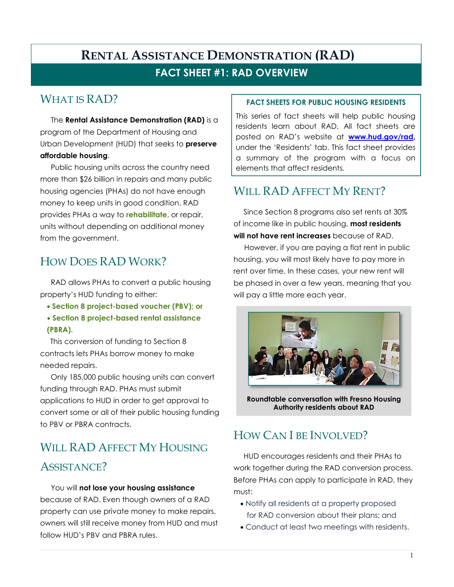#### **FACT SHEET #1: RAD OVERVIEW**

### WHAT IS RAD?

The **Rental Assistance Demonstration (RAD)** is a program of the Department of Housing and Urban Development (HUD) that seeks to **preserve affordable housing**.

Public housing units across the country need more than \$26 billion in repairs and many public housing agencies (PHAs) do not have enough money to keep units in good condition. RAD provides PHAs a way to **rehabilitate**, or repair, units without depending on additional money from the government.

### HOW DOES RAD WORK?

RAD allows PHAs to convert a public housing property's HUD funding to either:

- **Section 8 project-based voucher (PBV); or**
- **Section 8 project-based rental assistance (PBRA).**

This conversion of funding to Section 8 contracts lets PHAs borrow money to make needed repairs.

Only 185,000 public housing units can convert funding through RAD. PHAs must submit applications to HUD in order to get approval to convert some or all of their public housing funding to PBV or PBRA contracts.

# WILL RAD AFFECT MY HOUSING

#### ASSISTANCE?

#### You will **not lose your housing assistance**

because of RAD. Even though owners of a RAD property can use private money to make repairs, owners will still receive money from HUD and must follow HUD's PBV and PBRA rules.

#### **FACT SHEETS FOR PUBLIC HOUSING RESIDENTS**

This series of fact sheets will help public housing residents learn about RAD. All fact sheets are posted on RAD's website at **www.hud.gov/rad,**  under the 'Residents' tab. This fact sheet provides a summary of the program with a focus on elements that affect residents*.* 

### WILL RAD AFFECT MY RENT?

Since Section 8 programs also set rents at 30% of income like in public housing, **most residents will not have rent increases** because of RAD.

However, if you are paying a flat rent in public housing, you will most likely have to pay more in rent over time. In these cases, your new rent will be phased in over a few years, meaning that you will pay a little more each year.



**Roundtable conversation with Fresno Housing Authority residents about RAD** 

### HOW CAN I BE INVOLVED?

HUD encourages residents and their PHAs to work together during the RAD conversion process. Before PHAs can apply to participate in RAD, they must:

- Notify all residents at a property proposed for RAD conversion about their plans; and
- Conduct at least two meetings with residents.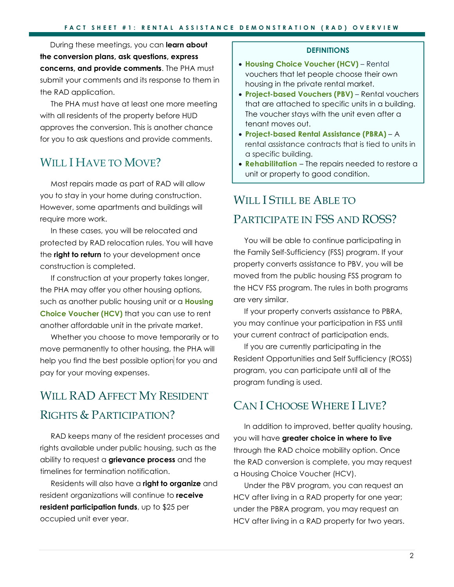During these meetings, you can **learn about the conversion plans, ask questions, express concerns, and provide comments**. The PHA must submit your comments and its response to them in the RAD application.

The PHA must have at least one more meeting with all residents of the property before HUD approves the conversion. This is another chance for you to ask questions and provide comments.

#### WILL I HAVE TO MOVE?

Most repairs made as part of RAD will allow you to stay in your home during construction. However, some apartments and buildings will require more work.

In these cases, you will be relocated and protected by RAD relocation rules. You will have the **right to return** to your development once construction is completed.

If construction at your property takes longer, the PHA may offer you other housing options, such as another public housing unit or a **Housing Choice Voucher (HCV)** that you can use to rent another affordable unit in the private market.

Whether you choose to move temporarily or to move permanently to other housing, the PHA will help you find the best possible option for you and pay for your moving expenses.

### WILL RAD AFFECT MY RESIDENT RIGHTS & PARTICIPATION?

RAD keeps many of the resident processes and rights available under public housing, such as the ability to request a **grievance process** and the timelines for termination notification.

Residents will also have a **right to organize** and resident organizations will continue to **receive resident participation funds**, up to \$25 per occupied unit ever year.

#### **DEFINITIONS**

- **Housing Choice Voucher (HCV)** Rental vouchers that let people choose their own housing in the private rental market.
- **Project-based Vouchers (PBV)** Rental vouchers that are attached to specific units in a building. The voucher stays with the unit even after a tenant moves out.
- **Project-based Rental Assistance (PBRA)**  A rental assistance contracts that is tied to units in a specific building.
- **Rehabilitation**  The repairs needed to restore a unit or property to good condition.

#### WILL I STILL BE ABLE TO

#### PARTICIPATE IN FSS AND ROSS?

You will be able to continue participating in the Family Self-Sufficiency (FSS) program. If your property converts assistance to PBV, you will be moved from the public housing FSS program to the HCV FSS program. The rules in both programs are very similar.

If your property converts assistance to PBRA, you may continue your participation in FSS until your current contract of participation ends.

If you are currently participating in the Resident Opportunities and Self Sufficiency (ROSS) program, you can participate until all of the program funding is used.

#### CAN I CHOOSE WHERE I LIVE?

In addition to improved, better quality housing, you will have **greater choice in where to live**  through the RAD choice mobility option. Once the RAD conversion is complete, you may request a Housing Choice Voucher (HCV).

Under the PBV program, you can request an HCV after living in a RAD property for one year; under the PBRA program, you may request an HCV after living in a RAD property for two years.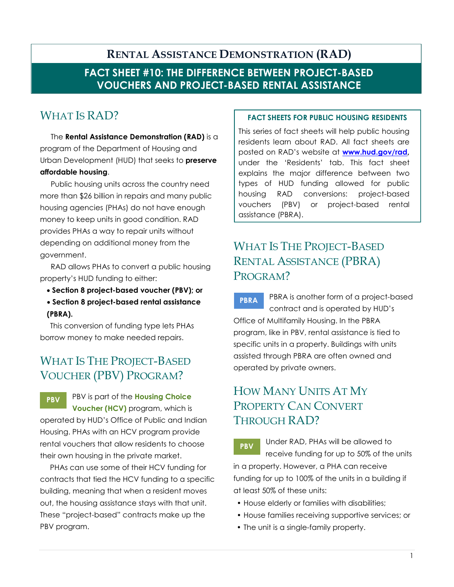#### **FACT SHEET #10: THE DIFFERENCE BETWEEN PROJECT-BASED VOUCHERS AND PROJECT-BASED RENTAL ASSISTANCE**

### WHAT IS RAD?

The **Rental Assistance Demonstration (RAD)** is a program of the Department of Housing and Urban Development (HUD) that seeks to **preserve affordable housing**.

Public housing units across the country need more than \$26 billion in repairs and many public housing agencies (PHAs) do not have enough money to keep units in good condition. RAD provides PHAs a way to repair units without depending on additional money from the government.

RAD allows PHAs to convert a public housing property's HUD funding to either:

- **Section 8 project-based voucher (PBV); or**
- **Section 8 project-based rental assistance (PBRA).**

This conversion of funding type lets PHAs borrow money to make needed repairs.

### WHAT IS THE PROJECT-BASED VOUCHER (PBV) PROGRAM?

**PBV**  PBV is part of the **Housing Choice Voucher (HCV)** program, which is operated by HUD's Office of Public and Indian Housing. PHAs with an HCV program provide rental vouchers that allow residents to choose their own housing in the private market.

PHAs can use some of their HCV funding for contracts that tied the HCV funding to a specific building, meaning that when a resident moves out, the housing assistance stays with that unit. These "project-based" contracts make up the PBV program.

#### **FACT SHEETS FOR PUBLIC HOUSING RESIDENTS**

This series of fact sheets will help public housing residents learn about RAD. All fact sheets are posted on RAD's website at **www.hud.gov/rad,**  under the 'Residents' tab. This fact sheet explains the major difference between two types of HUD funding allowed for public housing RAD conversions: project-based vouchers (PBV) or project-based rental assistance (PBRA).

### WHAT IS THE PROJECT-BASED RENTAL ASSISTANCE (PBRA) PROGRAM?

**PBRA**  PBRA is another form of a project-based contract and is operated by HUD's Office of Multifamily Housing. In the PBRA program, like in PBV, rental assistance is tied to specific units in a property. Buildings with units assisted through PBRA are often owned and operated by private owners.

### HOW MANY UNITS AT MY PROPERTY CAN CONVERT THROUGH RAD?

**PBV**  Under RAD, PHAs will be allowed to receive funding for up to 50% of the units in a property. However, a PHA can receive funding for up to 100% of the units in a building if at least 50% of these units:

- House elderly or families with disabilities;
- House families receiving supportive services; or
- The unit is a single-family property.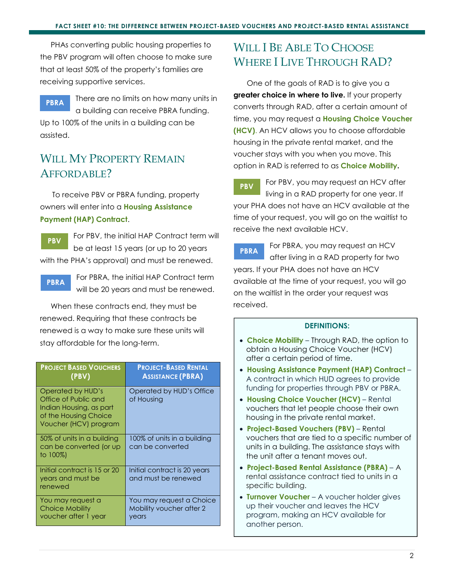PHAs converting public housing properties to the PBV program will often choose to make sure that at least 50% of the property's families are receiving supportive services.

**PBRA**  There are no limits on how many units in a building can receive PBRA funding. Up to 100% of the units in a building can be assisted.

#### WILL MY PROPERTY REMAIN AFFORDABLE?

To receive PBV or PBRA funding, property owners will enter into a **Housing Assistance Payment (HAP) Contract**.

**PBV**  For PBV, the initial HAP Contract term will be at least 15 years (or up to 20 years with the PHA's approval) and must be renewed.

**PBRA** 

For PBRA, the initial HAP Contract term will be 20 years and must be renewed.

When these contracts end, they must be renewed. Requiring that these contracts be renewed is a way to make sure these units will stay affordable for the long-term.

| <b>PROJECT BASED VOUCHERS</b><br>(PBV)                                                                                 | <b>PROJECT-BASED RENTAL</b><br><b>ASSISTANCE (PBRA)</b>       |
|------------------------------------------------------------------------------------------------------------------------|---------------------------------------------------------------|
| Operated by HUD's<br>Office of Public and<br>Indian Housing, as part<br>of the Housing Choice<br>Voucher (HCV) program | Operated by HUD's Office<br>of Housing                        |
| 50% of units in a building<br>can be converted (or up<br>to $100\%$ )                                                  | 100% of units in a building<br>can be converted               |
| Initial contract is 15 or 20<br>years and must be<br>renewed                                                           | Initial contract is 20 years<br>and must be renewed           |
| You may request a<br>Choice Mobility<br>voucher after 1 year                                                           | You may request a Choice<br>Mobility voucher after 2<br>years |

#### WILL I BE ABLE TO CHOOSE WHERE I LIVE THROUGH RAD?

One of the goals of RAD is to give you a **greater choice in where to live.** If your property converts through RAD, after a certain amount of time, you may request a **Housing Choice Voucher (HCV)**. An HCV allows you to choose affordable housing in the private rental market, and the voucher stays with you when you move. This option in RAD is referred to as **Choice Mobility.**

**PBV**  For PBV, you may request an HCV after living in a RAD property for one year. If your PHA does not have an HCV available at the time of your request, you will go on the waitlist to receive the next available HCV.

**PBRA**  For PBRA, you may request an HCV after living in a RAD property for two years. If your PHA does not have an HCV available at the time of your request, you will go on the waitlist in the order your request was received.

- • **Choice Mobility** Through RAD, the option to obtain a Housing Choice Voucher (HCV) after a certain period of time.
- • **Housing Assistance Payment (HAP) Contract**  A contract in which HUD agrees to provide funding for properties through PBV or PBRA.
- • **Housing Choice Voucher (HCV)**  Rental vouchers that let people choose their own housing in the private rental market.
- • **Project-Based Vouchers (PBV)** Rental vouchers that are tied to a specific number of units in a building. The assistance stays with the unit after a tenant moves out.
- • **Project-Based Rental Assistance (PBRA)** A rental assistance contract tied to units in a specific building.
- • **Turnover Voucher**  A voucher holder gives up their voucher and leaves the HCV program, making an HCV available for another person.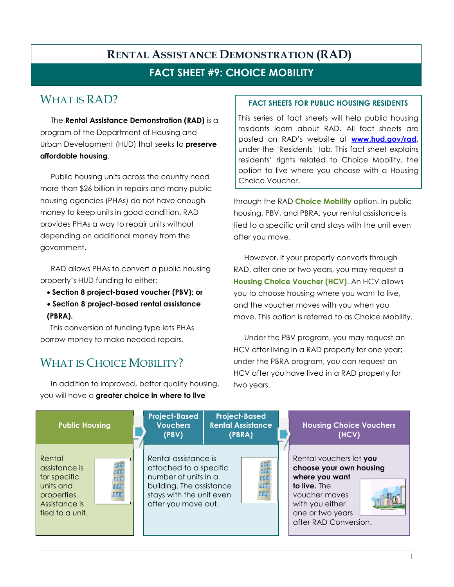#### **FACT SHEET #9: CHOICE MOBILITY**

#### WHAT IS RAD?

The **Rental Assistance Demonstration (RAD)** is a program of the Department of Housing and Urban Development (HUD) that seeks to **preserve affordable housing**.

Public housing units across the country need more than \$26 billion in repairs and many public housing agencies (PHAs) do not have enough money to keep units in good condition. RAD provides PHAs a way to repair units without depending on additional money from the government.

RAD allows PHAs to convert a public housing property's HUD funding to either:

- **Section 8 project-based voucher (PBV); or**
- **Section 8 project-based rental assistance (PBRA).**

This conversion of funding type lets PHAs borrow money to make needed repairs.

### WHAT IS CHOICE MOBILITY?

In addition to improved, better quality housing, you will have a **greater choice in where to live** 

#### **FACT SHEETS FOR PUBLIC HOUSING RESIDENTS**

This series of fact sheets will help public housing residents learn about RAD. All fact sheets are posted on RAD's website at **www.hud.gov/rad,**  under the 'Residents' tab. This fact sheet explains residents' rights related to Choice Mobility, the option to live where you choose with a Housing Choice Voucher.

through the RAD **Choice Mobility** option. In public housing, PBV, and PBRA, your rental assistance is tied to a specific unit and stays with the unit even after you move.

However, if your property converts through RAD, after one or two years, you may request a **Housing Choice Voucher (HCV)**. An HCV allows you to choose housing where you want to live, and the voucher moves with you when you move. This option is referred to as Choice Mobility.

Under the PBV program, you may request an HCV after living in a RAD property for one year; under the PBRA program, you can request an HCV after you have lived in a RAD property for two years.

| <b>Public Housing</b>                                                                                                                                           | <b>Project-Based</b><br><b>Vouchers</b><br>(PBV)                                                                                                      | <b>Project-Based</b><br><b>Rental Assistance</b><br>(PBRA) | <b>Housing Choice Vouchers</b><br>(HCV)                                                                                                                               |
|-----------------------------------------------------------------------------------------------------------------------------------------------------------------|-------------------------------------------------------------------------------------------------------------------------------------------------------|------------------------------------------------------------|-----------------------------------------------------------------------------------------------------------------------------------------------------------------------|
| Rental<br>rrr<br>assistance is<br><b>FFF</b><br>for specific<br><b>CEE</b><br>units and<br><b>FFF</b><br>EEE<br>properties.<br>Assistance is<br>tied to a unit. | Rental assistance is<br>attached to a specific<br>number of units in a<br>building. The assistance<br>stays with the unit even<br>after you move out. | fff<br>rrr<br><b>FFF</b><br>FFF                            | Rental vouchers let you<br>choose your own housing<br>where you want<br>to live. The<br>voucher moves<br>with you either<br>one or two years<br>after RAD Conversion. |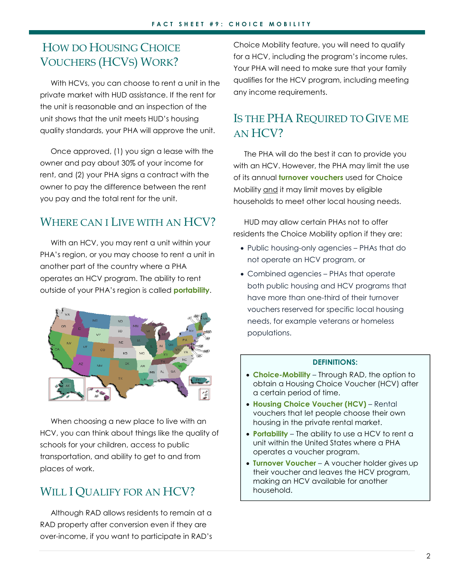### HOW DO HOUSING CHOICE VOUCHERS (HCVS) WORK?

With HCVs, you can choose to rent a unit in the private market with HUD assistance. If the rent for the unit is reasonable and an inspection of the unit shows that the unit meets HUD's housing quality standards, your PHA will approve the unit.

Once approved, (1) you sign a lease with the owner and pay about 30% of your income for rent, and (2) your PHA signs a contract with the owner to pay the difference between the rent you pay and the total rent for the unit.

#### WHERE CAN I LIVE WITH AN HCV?

With an HCV, you may rent a unit within your PHA's region, or you may choose to rent a unit in another part of the country where a PHA operates an HCV program. The ability to rent outside of your PHA's region is called **portability**.



When choosing a new place to live with an HCV, you can think about things like the quality of schools for your children, access to public transportation, and ability to get to and from places of work.

### WILL I QUALIFY FOR AN HCV?

Although RAD allows residents to remain at a RAD property after conversion even if they are over-income, if you want to participate in RAD's Choice Mobility feature, you will need to qualify for a HCV, including the program's income rules. Your PHA will need to make sure that your family qualifies for the HCV program, including meeting any income requirements.

#### IS THE PHA REQUIRED TO GIVE ME AN HCV?

The PHA will do the best it can to provide you with an HCV. However, the PHA may limit the use of its annual **turnover vouchers** used for Choice Mobility and it may limit moves by eligible households to meet other local housing needs.

HUD may allow certain PHAs not to offer residents the Choice Mobility option if they are:

- Public housing-only agencies PHAs that do not operate an HCV program, or
- Combined agencies PHAs that operate both public housing and HCV programs that have more than one-third of their turnover vouchers reserved for specific local housing needs, for example veterans or homeless populations.

- **Choice-Mobility** Through RAD, the option to obtain a Housing Choice Voucher (HCV) after a certain period of time.
- **Housing Choice Voucher (HCV)** Rental vouchers that let people choose their own housing in the private rental market.
- **Portability** The ability to use a HCV to rent a unit within the United States where a PHA operates a voucher program.
- **Turnover Voucher** A voucher holder gives up their voucher and leaves the HCV program, making an HCV available for another household.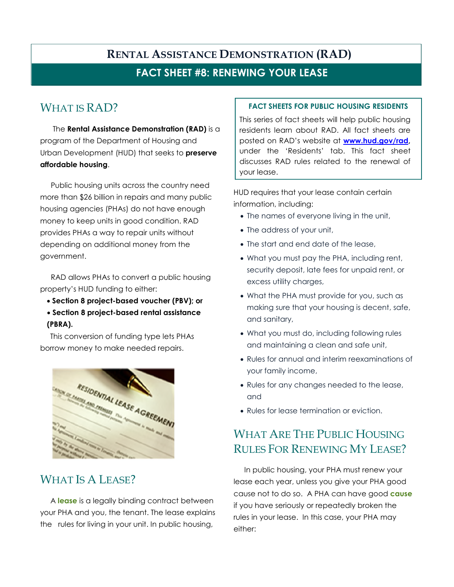#### **FACT SHEET #8: RENEWING YOUR LEASE**

### WHAT IS RAD?

The **Rental Assistance Demonstration (RAD)** is a program of the Department of Housing and Urban Development (HUD) that seeks to **preserve affordable housing**.

Public housing units across the country need more than \$26 billion in repairs and many public housing agencies (PHAs) do not have enough money to keep units in good condition. RAD provides PHAs a way to repair units without depending on additional money from the government.

RAD allows PHAs to convert a public housing property's HUD funding to either:

- **Section 8 project-based voucher (PBV); or**
- **Section 8 project-based rental assistance (PBRA).**

This conversion of funding type lets PHAs borrow money to make needed repairs.



#### WHAT IS A LEASE?

 A **lease** is a legally binding contract between your PHA and you, the tenant. The lease explains the rules for living in your unit. In public housing,

#### **FACT SHEETS FOR PUBLIC HOUSING RESIDENTS**

This series of fact sheets will help public housing residents learn about RAD. All fact sheets are posted on RAD's website at **www.hud.gov/rad,**  under the 'Residents' tab. This fact sheet discusses RAD rules related to the renewal of your lease.

HUD requires that your lease contain certain information, including:

- The names of everyone living in the unit,
- The address of your unit,
- The start and end date of the lease,
- What you must pay the PHA, including rent, security deposit, late fees for unpaid rent, or excess utility charges,
- What the PHA must provide for you, such as making sure that your housing is decent, safe, and sanitary,
- What you must do, including following rules and maintaining a clean and safe unit,
- Rules for annual and interim reexaminations of your family income,
- Rules for any changes needed to the lease, and
- Rules for lease termination or eviction.

### WHAT ARE THE PUBLIC HOUSING RULES FOR RENEWING MY LEASE?

In public housing, your PHA must renew your lease each year, unless you give your PHA good cause not to do so. A PHA can have good **cause** if you have seriously or repeatedly broken the rules in your lease. In this case, your PHA may either: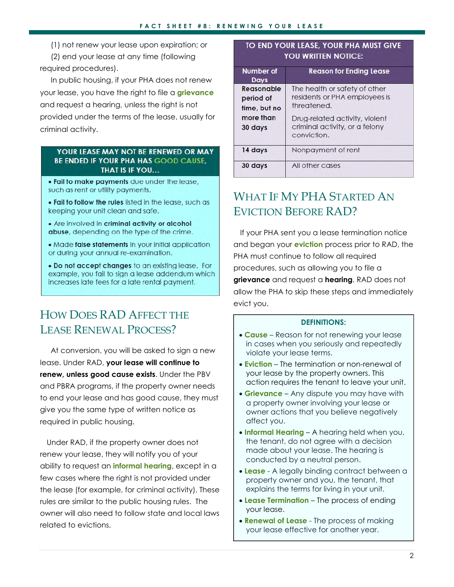(1) not renew your lease upon expiration; or

(2) end your lease at any time (following required procedures).

In public housing, if your PHA does not renew your lease, you have the right to file a **grievance** and request a hearing**,** unless the right is not provided under the terms of the lease, usually for criminal activity.

#### YOUR LEASE MAY NOT BE RENEWED OR MAY **BE ENDED IF YOUR PHA HAS GOOD CAUSE,** THAT IS IF YOU...

. Fail to make payments due under the lease, such as rent or utility payments.

. Fail to follow the rules listed in the lease, such as keeping your unit clean and safe.

• Are involved in criminal activity or alcohol abuse, depending on the type of the crime.

• Made false statements in your initial application or during your annual re-examination.

. Do not accept changes to an existing lease. For example, you fail to sign a lease addendum which increases late fees for a late rental payment.

### HOW DOES RAD AFFECT THE LEASE RENEWAL PROCESS?

At conversion, you will be asked to sign a new lease. Under RAD, **your lease will continue to renew, unless good cause exists**. Under the PBV and PBRA programs, if the property owner needs to end your lease and has good cause, they must give you the same type of written notice as required in public housing.

Under RAD, if the property owner does not renew your lease, they will notify you of your ability to request an **informal hearing**, except in a few cases where the right is not provided under the lease (for example, for criminal activity). These rules are similar to the public housing rules. The owner will also need to follow state and local laws related to evictions.

#### TO END YOUR LEASE, YOUR PHA MUST GIVE YOU WRITTEN NOTICE:

| <b>Number</b> of | <b>Reason for Ending Lease</b> |
|------------------|--------------------------------|
| <b>Days</b>      |                                |
| Reasonable       | The health or safety of other  |
| period of        | residents or PHA employees is  |
| time, but no     | threatened.                    |
| more than        | Drug-related activity, violent |
| 30 days          | criminal activity, or a felony |
|                  | conviction.                    |
| 14 days          | Nonpayment of rent             |
| 30 days          | All other cases                |

### WHAT IF MY PHA STARTED AN EVICTION BEFORE RAD?

If your PHA sent you a lease termination notice and began your **eviction** process prior to RAD, the PHA must continue to follow all required procedures, such as allowing you to file a **grievance** and request a **hearing**. RAD does not allow the PHA to skip these steps and immediately evict you.

- **Cause** Reason for not renewing your lease in cases when you seriously and repeatedly violate your lease terms.
- **Eviction** The termination or non-renewal of your lease by the property owners. This action requires the tenant to leave your unit.
- **Grievance** Any dispute you may have with a property owner involving your lease or owner actions that you believe negatively affect you.
- **Informal Hearing** A hearing held when you, the tenant, do not agree with a decision made about your lease. The hearing is conducted by a neutral person.
- **Lease** A legally binding contract between a property owner and you, the tenant, that explains the terms for living in your unit.
- **Lease Termination**  The process of ending your lease.
- **Renewal of Lease** The process of making your lease effective for another year.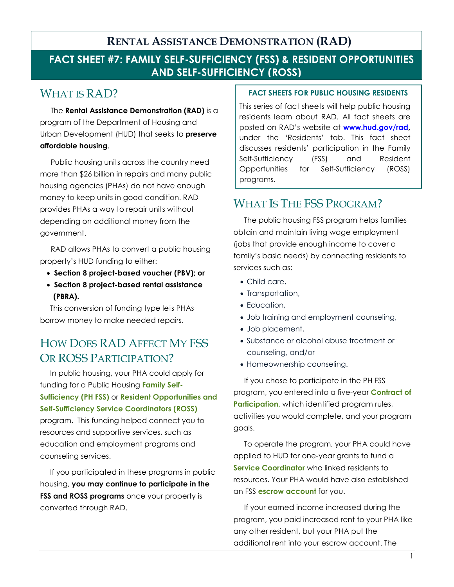#### **FACT SHEET #7: FAMILY SELF-SUFFICIENCY (FSS) & RESIDENT OPPORTUNITIES AND SELF-SUFFICIENCY (ROSS)**

#### WHAT IS RAD?

The **Rental Assistance Demonstration (RAD)** is a program of the Department of Housing and Urban Development (HUD) that seeks to **preserve affordable housing**.

Public housing units across the country need more than \$26 billion in repairs and many public housing agencies (PHAs) do not have enough money to keep units in good condition. RAD provides PHAs a way to repair units without depending on additional money from the government.

RAD allows PHAs to convert a public housing property's HUD funding to either:

- • **Section 8 project-based voucher (PBV); or**
- • **Section 8 project-based rental assistance (PBRA).**

This conversion of funding type lets PHAs borrow money to make needed repairs.

### HOW DOES RAD AFFECT MY FSS OR ROSS PARTICIPATION?

In public housing, your PHA could apply for funding for a Public Housing **Family Self-Sufficiency (PH FSS)** or **Resident Opportunities and Self-Sufficiency Service Coordinators (ROSS)** program. This funding helped connect you to resources and supportive services, such as education and employment programs and

counseling services. If you participated in these programs in public housing, **you may continue to participate in the FSS and ROSS programs** once your property is converted through RAD.

#### **FACT SHEETS FOR PUBLIC HOUSING RESIDENTS**

This series of fact sheets will help public housing residents learn about RAD. All fact sheets are posted on RAD's website at **www.hud.gov/rad,**  under the 'Residents' tab. This fact sheet discusses residents' participation in the Family Self-Sufficiency (FSS) and Resident Opportunities for Self-Sufficiency (ROSS) programs.

### WHAT IS THE FSS PROGRAM?

The public housing FSS program helps families obtain and maintain living wage employment (jobs that provide enough income to cover a family's basic needs) by connecting residents to services such as:

- Child care,
- Transportation,
- Education,
- Job training and employment counseling,
- Job placement,
- Substance or alcohol abuse treatment or counseling, and/or
- Homeownership counseling.

If you chose to participate in the PH FSS program, you entered into a five-year **Contract of Participation**, which identified program rules, activities you would complete, and your program goals.

To operate the program, your PHA could have applied to HUD for one-year grants to fund a **Service Coordinator** who linked residents to resources. Your PHA would have also established an FSS **escrow account** for you.

If your earned income increased during the program, you paid increased rent to your PHA like any other resident, but your PHA put the additional rent into your escrow account. The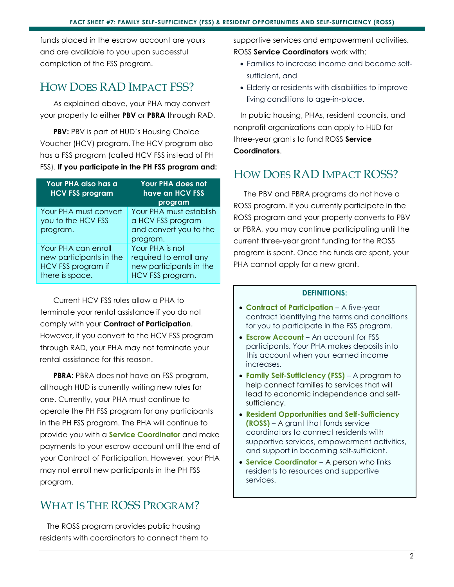funds placed in the escrow account are yours and are available to you upon successful completion of the FSS program.

#### HOW DOES RAD IMPACT FSS?

As explained above, your PHA may convert your property to either **PBV** or **PBRA** through RAD.

**PBV:** PBV is part of HUD's Housing Choice Voucher (HCV) program. The HCV program also has a FSS program (called HCV FSS instead of PH FSS). **If you participate in the PH FSS program and:**

| Your PHA also has a<br><b>HCV FSS program</b>                                           | <b>Your PHA does not</b><br>have an HCV FSS<br>program                                   |
|-----------------------------------------------------------------------------------------|------------------------------------------------------------------------------------------|
| Your PHA must convert<br>you to the HCV FSS<br>program.                                 | Your PHA must establish<br>a HCV FSS program<br>and convert you to the<br>program.       |
| Your PHA can enroll<br>new participants in the<br>HCV FSS program if<br>there is space. | Your PHA is not<br>required to enroll any<br>new participants in the<br>HCV FSS program. |

Current HCV FSS rules allow a PHA to terminate your rental assistance if you do not comply with your **Contract of Participation**. However, if you convert to the HCV FSS program through RAD, your PHA may not terminate your rental assistance for this reason.

**PBRA:** PBRA does not have an FSS program, although HUD is currently writing new rules for one. Currently, your PHA must continue to operate the PH FSS program for any participants in the PH FSS program. The PHA will continue to provide you with a **Service Coordinator** and make payments to your escrow account until the end of your Contract of Participation. However, your PHA may not enroll new participants in the PH FSS program.

### WHAT IS THE ROSS PROGRAM?

The ROSS program provides public housing residents with coordinators to connect them to supportive services and empowerment activities. ROSS **Service Coordinators** work with:

- Families to increase income and become selfsufficient, and
- Elderly or residents with disabilities to improve living conditions to age-in-place.

In public housing, PHAs, resident councils, and nonprofit organizations can apply to HUD for three-year grants to fund ROSS **Service Coordinators**.

### HOW DOES RAD IMPACT ROSS?

The PBV and PBRA programs do not have a ROSS program. If you currently participate in the ROSS program and your property converts to PBV or PBRA, you may continue participating until the current three-year grant funding for the ROSS program is spent. Once the funds are spent, your PHA cannot apply for a new grant.

- **Contract of Participation** A five-year contract identifying the terms and conditions for you to participate in the FSS program.
- **Escrow Account** An account for FSS participants. Your PHA makes deposits into this account when your earned income increases.
- **Family Self-Sufficiency (FSS)** A program to help connect families to services that will lead to economic independence and selfsufficiency.
- **Resident Opportunities and Self-Sufficiency (ROSS)** – A grant that funds service coordinators to connect residents with supportive services, empowerment activities, and support in becoming self-sufficient.
- **Service Coordinator** A person who links residents to resources and supportive services.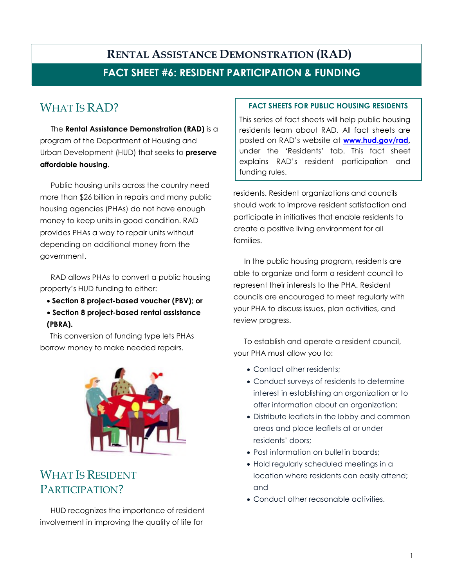#### **FACT SHEET #6: RESIDENT PARTICIPATION & FUNDING**

### WHAT IS RAD?

The **Rental Assistance Demonstration (RAD)** is a program of the Department of Housing and Urban Development (HUD) that seeks to **preserve affordable housing**.

Public housing units across the country need more than \$26 billion in repairs and many public housing agencies (PHAs) do not have enough money to keep units in good condition. RAD provides PHAs a way to repair units without depending on additional money from the government.

RAD allows PHAs to convert a public housing property's HUD funding to either:

- **Section 8 project-based voucher (PBV); or**
- **Section 8 project-based rental assistance (PBRA).**

This conversion of funding type lets PHAs borrow money to make needed repairs.



### WHAT IS RESIDENT PARTICIPATION?

HUD recognizes the importance of resident involvement in improving the quality of life for

#### **FACT SHEETS FOR PUBLIC HOUSING RESIDENTS**

This series of fact sheets will help public housing residents learn about RAD. All fact sheets are posted on RAD's website at **www.hud.gov/rad,**  under the 'Residents' tab. This fact sheet explains RAD's resident participation and funding rules.

residents. Resident organizations and councils should work to improve resident satisfaction and participate in initiatives that enable residents to create a positive living environment for all families.

In the public housing program, residents are able to organize and form a resident council to represent their interests to the PHA. Resident councils are encouraged to meet regularly with your PHA to discuss issues, plan activities, and review progress.

To establish and operate a resident council, your PHA must allow you to:

- Contact other residents;
- Conduct surveys of residents to determine interest in establishing an organization or to offer information about an organization;
- Distribute leaflets in the lobby and common areas and place leaflets at or under residents' doors;
- Post information on bulletin boards:
- Hold regularly scheduled meetings in a location where residents can easily attend; and
- Conduct other reasonable activities.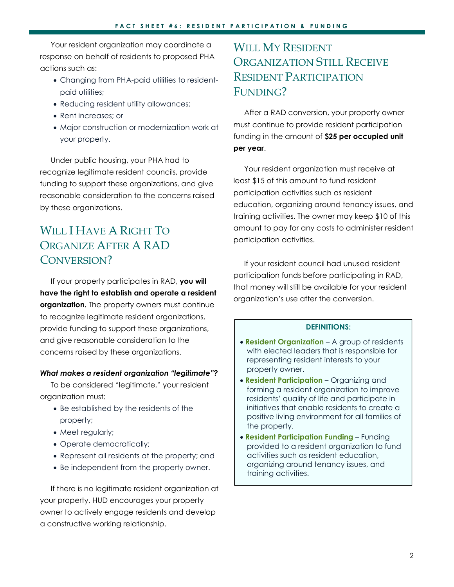Your resident organization may coordinate a response on behalf of residents to proposed PHA actions such as:

- Changing from PHA-paid utilities to residentpaid utilities;
- Reducing resident utility allowances;
- Rent increases; or
- Major construction or modernization work at your property.

Under public housing, your PHA had to recognize legitimate resident councils, provide funding to support these organizations, and give reasonable consideration to the concerns raised by these organizations.

### WILL I HAVE A RIGHT TO ORGANIZE AFTER A RAD CONVERSION?

If your property participates in RAD, **you will have the right to establish and operate a resident organization.** The property owners must continue to recognize legitimate resident organizations, provide funding to support these organizations, and give reasonable consideration to the concerns raised by these organizations.

#### *What makes a resident organization "legitimate"?*

To be considered "legitimate," your resident organization must:

- Be established by the residents of the property;
- Meet regularly;
- Operate democratically;
- Represent all residents at the property; and
- Be independent from the property owner.

If there is no legitimate resident organization at your property, HUD encourages your property owner to actively engage residents and develop a constructive working relationship.

### WILL MY RESIDENT ORGANIZATION STILL RECEIVE RESIDENT PARTICIPATION FUNDING?

After a RAD conversion, your property owner must continue to provide resident participation funding in the amount of **\$25 per occupied unit per year**.

Your resident organization must receive at least \$15 of this amount to fund resident participation activities such as resident education, organizing around tenancy issues, and training activities. The owner may keep \$10 of this amount to pay for any costs to administer resident participation activities.

If your resident council had unused resident participation funds before participating in RAD, that money will still be available for your resident organization's use after the conversion.

- **Resident Organization** A group of residents with elected leaders that is responsible for representing resident interests to your property owner.
- **Resident Participation** Organizing and forming a resident organization to improve residents' quality of life and participate in initiatives that enable residents to create a positive living environment for all families of the property.
- **Resident Participation Funding** Funding provided to a resident organization to fund activities such as resident education, organizing around tenancy issues, and training activities.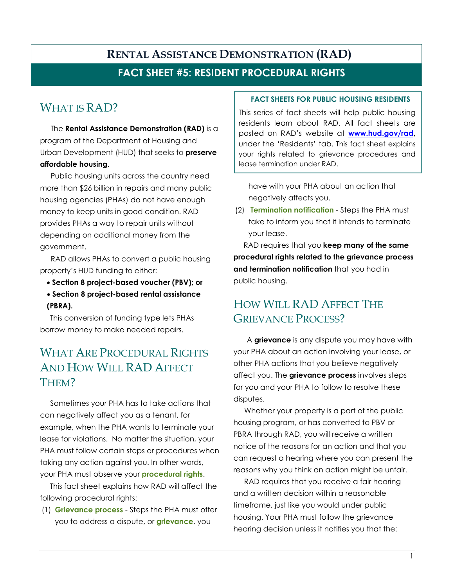#### **FACT SHEET #5: RESIDENT PROCEDURAL RIGHTS**

### WHAT IS RAD?

The **Rental Assistance Demonstration (RAD)** is a program of the Department of Housing and Urban Development (HUD) that seeks to **preserve affordable housing**.

Public housing units across the country need more than \$26 billion in repairs and many public housing agencies (PHAs) do not have enough money to keep units in good condition. RAD provides PHAs a way to repair units without depending on additional money from the government.

RAD allows PHAs to convert a public housing property's HUD funding to either:

• **Section 8 project-based voucher (PBV); or**  • **Section 8 project-based rental assistance (PBRA).** 

This conversion of funding type lets PHAs borrow money to make needed repairs.

#### WHAT ARE PROCEDURAL RIGHTS AND HOW WILL RAD AFFECT THEM?

Sometimes your PHA has to take actions that can negatively affect you as a tenant, for example, when the PHA wants to terminate your lease for violations. No matter the situation, your PHA must follow certain steps or procedures when taking any action against you. In other words, your PHA must observe your **procedural rights**.

This fact sheet explains how RAD will affect the following procedural rights:

(1) **Grievance process** - Steps the PHA must offer you to address a dispute, or **grievance**, you

#### **FACT SHEETS FOR PUBLIC HOUSING RESIDENTS**

This series of fact sheets will help public housing residents learn about RAD. All fact sheets are posted on RAD's website at **www.hud.gov/rad,**  under the 'Residents' tab. This fact sheet explains your rights related to grievance procedures and lease termination under RAD.

have with your PHA about an action that negatively affects you.

(2) **Termination notification** - Steps the PHA must take to inform you that it intends to terminate your lease.

RAD requires that you **keep many of the same procedural rights related to the grievance process and termination notification** that you had in public housing.

### HOW WILL RAD AFFECT THE GRIEVANCE PROCESS?

A **grievance** is any dispute you may have with your PHA about an action involving your lease, or other PHA actions that you believe negatively affect you. The **grievance process** involves steps for you and your PHA to follow to resolve these disputes.

Whether your property is a part of the public housing program, or has converted to PBV or PBRA through RAD, you will receive a written notice of the reasons for an action and that you can request a hearing where you can present the reasons why you think an action might be unfair.

RAD requires that you receive a fair hearing and a written decision within a reasonable timeframe, just like you would under public housing. Your PHA must follow the grievance hearing decision unless it notifies you that the: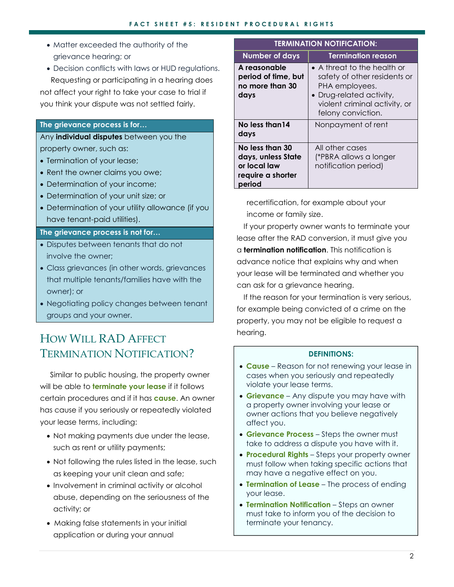- Matter exceeded the authority of the grievance hearing; or
- Decision conflicts with laws or HUD regulations.

Requesting or participating in a hearing does not affect your right to take your case to trial if you think your dispute was not settled fairly.

#### **The grievance process is for…**

Any **individual disputes** between you the property owner, such as:

- Termination of your lease;
- Rent the owner claims you owe:
- Determination of your income;
- Determination of your unit size; or
- Determination of your utility allowance (if you have tenant-paid utilities).

#### **The grievance process is not for…**

- Disputes between tenants that do not involve the owner;
- Class grievances (in other words, grievances that multiple tenants/families have with the owner); or
- Negotiating policy changes between tenant groups and your owner.

### HOW WILL RAD AFFECT TERMINATION NOTIFICATION?

Similar to public housing, the property owner will be able to **terminate your lease** if it follows certain procedures and if it has **cause**. An owner has cause if you seriously or repeatedly violated your lease terms, including:

- Not making payments due under the lease, such as rent or utility payments;
- Not following the rules listed in the lease, such as keeping your unit clean and safe;
- Involvement in criminal activity or alcohol abuse, depending on the seriousness of the activity; or
- Making false statements in your initial application or during your annual

| <b>TERMINATION NOTIFICATION:</b>                                                     |                                                                                                                                                                          |  |
|--------------------------------------------------------------------------------------|--------------------------------------------------------------------------------------------------------------------------------------------------------------------------|--|
| <b>Number of days</b>                                                                | <b>Termination reason</b>                                                                                                                                                |  |
| A reasonable<br>period of time, but<br>no more than 30<br>days                       | $\bullet$ A threat to the health or<br>safety of other residents or<br>PHA employees.<br>• Drug-related activity,<br>violent criminal activity, or<br>felony conviction. |  |
| No less than 14<br>days                                                              | Nonpayment of rent                                                                                                                                                       |  |
| No less than 30<br>days, unless State<br>or local law<br>require a shorter<br>period | All other cases<br>(*PBRA allows a longer<br>notification period)                                                                                                        |  |

recertification, for example about your income or family size.

If your property owner wants to terminate your lease after the RAD conversion, it must give you a **termination notification**. This notification is advance notice that explains why and when your lease will be terminated and whether you can ask for a grievance hearing.

If the reason for your termination is very serious, for example being convicted of a crime on the property, you may not be eligible to request a hearing.

- **Cause** Reason for not renewing your lease in cases when you seriously and repeatedly violate your lease terms.
- **Grievance** Any dispute you may have with a property owner involving your lease or owner actions that you believe negatively affect you.
- **Grievance Process** Steps the owner must take to address a dispute you have with it.
- **Procedural Rights** Steps your property owner must follow when taking specific actions that may have a negative effect on you.
- **Termination of Lease** The process of ending your lease.
- **Termination Notification** Steps an owner must take to inform you of the decision to terminate your tenancy.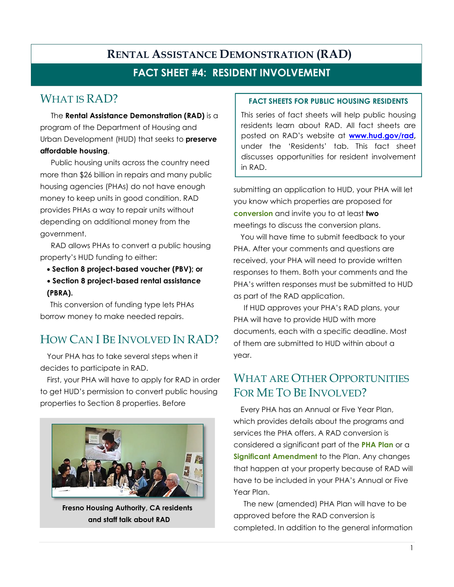#### **FACT SHEET #4: RESIDENT INVOLVEMENT**

### WHAT IS RAD?

The **Rental Assistance Demonstration (RAD)** is a program of the Department of Housing and Urban Development (HUD) that seeks to **preserve affordable housing**.

Public housing units across the country need more than \$26 billion in repairs and many public housing agencies (PHAs) do not have enough money to keep units in good condition. RAD provides PHAs a way to repair units without depending on additional money from the government.

RAD allows PHAs to convert a public housing property's HUD funding to either:

- **Section 8 project-based voucher (PBV); or**
- **Section 8 project-based rental assistance (PBRA).**

This conversion of funding type lets PHAs borrow money to make needed repairs.

## HOW CAN I BE INVOLVED IN RAD?

Your PHA has to take several steps when it decides to participate in RAD.

First, your PHA will have to apply for RAD in order to get HUD's permission to convert public housing properties to Section 8 properties. Before



**Fresno Housing Authority, CA residents and staff talk about RAD**

#### **FACT SHEETS FOR PUBLIC HOUSING RESIDENTS**

This series of fact sheets will help public housing residents learn about RAD. All fact sheets are posted on RAD's website at **www.hud.gov/rad,**  under the 'Residents' tab. This fact sheet discusses opportunities for resident involvement in RAD.

submitting an application to HUD, your PHA will let you know which properties are proposed for **conversion** and invite you to at least **two** meetings to discuss the conversion plans.

You will have time to submit feedback to your PHA. After your comments and questions are received, your PHA will need to provide written responses to them. Both your comments and the PHA's written responses must be submitted to HUD as part of the RAD application.

If HUD approves your PHA's RAD plans, your PHA will have to provide HUD with more documents, each with a specific deadline. Most of them are submitted to HUD within about a year.

#### WHAT ARE OTHER OPPORTUNITIES FOR ME TO BE INVOLVED?

Every PHA has an Annual or Five Year Plan, which provides details about the programs and services the PHA offers. A RAD conversion is considered a significant part of the **PHA Plan** or a **Significant Amendment** to the Plan. Any changes that happen at your property because of RAD will have to be included in your PHA's Annual or Five Year Plan.

The new (amended) PHA Plan will have to be approved before the RAD conversion is completed. In addition to the general information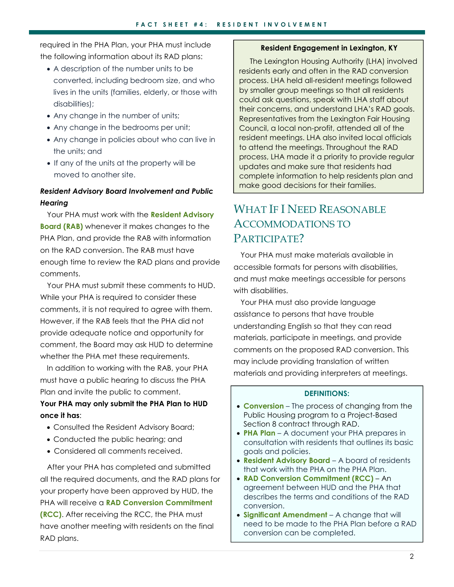required in the PHA Plan, your PHA must include the following information about its RAD plans:

- A description of the number units to be converted, including bedroom size, and who lives in the units (families, elderly, or those with disabilities);
- Any change in the number of units;
- Any change in the bedrooms per unit;
- Any change in policies about who can live in the units; and
- If any of the units at the property will be moved to another site.

#### *Resident Advisory Board Involvement and Public Hearing*

Your PHA must work with the **Resident Advisory Board (RAB)** whenever it makes changes to the PHA Plan, and provide the RAB with information on the RAD conversion. The RAB must have enough time to review the RAD plans and provide comments.

Your PHA must submit these comments to HUD. While your PHA is required to consider these comments, it is not required to agree with them. However, if the RAB feels that the PHA did not provide adequate notice and opportunity for comment, the Board may ask HUD to determine whether the PHA met these requirements.

In addition to working with the RAB, your PHA must have a public hearing to discuss the PHA Plan and invite the public to comment.

#### **Your PHA may only submit the PHA Plan to HUD once it has**:

- Consulted the Resident Advisory Board;
- Conducted the public hearing; and
- Considered all comments received.

After your PHA has completed and submitted all the required documents, and the RAD plans for your property have been approved by HUD, the PHA will receive a **RAD Conversion Commitment (RCC)**. After receiving the RCC, the PHA must have another meeting with residents on the final RAD plans.

#### **Resident Engagement in Lexington, KY**

The Lexington Housing Authority (LHA) involved residents early and often in the RAD conversion process. LHA held all-resident meetings followed by smaller group meetings so that all residents could ask questions, speak with LHA staff about their concerns, and understand LHA's RAD goals. Representatives from the Lexington Fair Housing Council, a local non-profit, attended all of the resident meetings. LHA also invited local officials to attend the meetings. Throughout the RAD process, LHA made it a priority to provide regular updates and make sure that residents had complete information to help residents plan and make good decisions for their families.

#### WHAT IF I NEED REASONABLE ACCOMMODATIONS TO PARTICIPATE?

Your PHA must make materials available in accessible formats for persons with disabilities, and must make meetings accessible for persons with disabilities.

Your PHA must also provide language assistance to persons that have trouble understanding English so that they can read materials, participate in meetings, and provide comments on the proposed RAD conversion. This may include providing translation of written materials and providing interpreters at meetings.

- **Conversion** The process of changing from the Public Housing program to a Project-Based Section 8 contract through RAD.
- **PHA Plan** A document your PHA prepares in consultation with residents that outlines its basic goals and policies.
- **Resident Advisory Board** A board of residents that work with the PHA on the PHA Plan.
- **RAD Conversion Commitment (RCC)**  An agreement between HUD and the PHA that describes the terms and conditions of the RAD conversion.
- **Significant Amendment**  A change that will need to be made to the PHA Plan before a RAD conversion can be completed.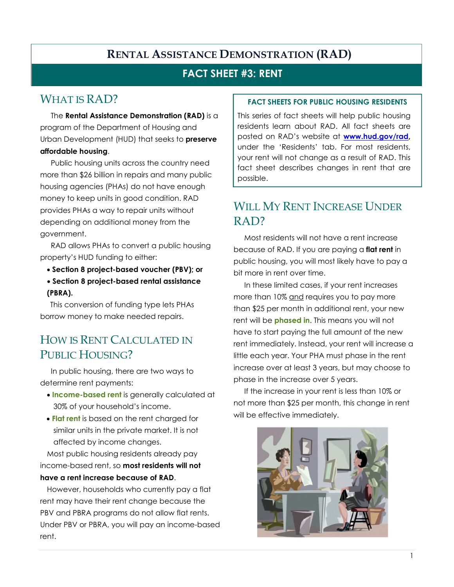#### **FACT SHEET #3: RENT**

#### WHAT IS RAD?

The **Rental Assistance Demonstration (RAD)** is a program of the Department of Housing and Urban Development (HUD) that seeks to **preserve affordable housing**.

Public housing units across the country need more than \$26 billion in repairs and many public housing agencies (PHAs) do not have enough money to keep units in good condition. RAD provides PHAs a way to repair units without depending on additional money from the government.

RAD allows PHAs to convert a public housing property's HUD funding to either:

- **Section 8 project-based voucher (PBV); or**
- **Section 8 project-based rental assistance (PBRA).**

This conversion of funding type lets PHAs borrow money to make needed repairs.

### HOW IS RENT CALCULATED IN PUBLIC HOUSING?

In public housing, there are two ways to determine rent payments:

- **Income-based rent** is generally calculated at 30% of your household's income.
- **Flat rent** is based on the rent charged for similar units in the private market. It is not affected by income changes.

Most public housing residents already pay income-based rent, so **most residents will not have a rent increase because of RAD**.

However, households who currently pay a flat rent may have their rent change because the PBV and PBRA programs do not allow flat rents. Under PBV or PBRA, you will pay an income-based rent.

#### **FACT SHEETS FOR PUBLIC HOUSING RESIDENTS**

This series of fact sheets will help public housing residents learn about RAD. All fact sheets are posted on RAD's website at **www.hud.gov/rad,**  under the 'Residents' tab. For most residents, your rent will not change as a result of RAD. This fact sheet describes changes in rent that are possible.

#### WILL MY RENT INCREASE UNDER RAD?

Most residents will not have a rent increase because of RAD. If you are paying a **flat rent** in public housing, you will most likely have to pay a bit more in rent over time.

In these limited cases, if your rent increases more than 10% and requires you to pay more than \$25 per month in additional rent, your new rent will be **phased in**. This means you will not have to start paying the full amount of the new rent immediately. Instead, your rent will increase a little each year. Your PHA must phase in the rent increase over at least 3 years, but may choose to phase in the increase over 5 years.

If the increase in your rent is less than 10% or not more than \$25 per month, this change in rent will be effective immediately.

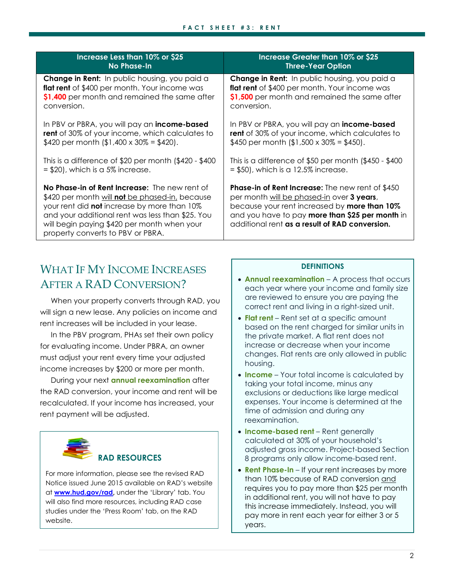| Increase Less than 10% or \$25                                                                                                                                                                                                                                                                | Increase Greater than 10% or \$25                                                                                                                                                                                                                                               |
|-----------------------------------------------------------------------------------------------------------------------------------------------------------------------------------------------------------------------------------------------------------------------------------------------|---------------------------------------------------------------------------------------------------------------------------------------------------------------------------------------------------------------------------------------------------------------------------------|
| No Phase-In                                                                                                                                                                                                                                                                                   | <b>Three-Year Option</b>                                                                                                                                                                                                                                                        |
| <b>Change in Rent:</b> In public housing, you paid a                                                                                                                                                                                                                                          | <b>Change in Rent:</b> In public housing, you paid a                                                                                                                                                                                                                            |
| <b>flat rent</b> of \$400 per month. Your income was                                                                                                                                                                                                                                          | flat rent of \$400 per month. Your income was                                                                                                                                                                                                                                   |
| \$1,400 per month and remained the same after                                                                                                                                                                                                                                                 | \$1,500 per month and remained the same after                                                                                                                                                                                                                                   |
| conversion.                                                                                                                                                                                                                                                                                   | conversion.                                                                                                                                                                                                                                                                     |
| In PBV or PBRA, you will pay an <b>income-based</b>                                                                                                                                                                                                                                           | In PBV or PBRA, you will pay an <b>income-based</b>                                                                                                                                                                                                                             |
| <b>rent</b> of 30% of your income, which calculates to                                                                                                                                                                                                                                        | <b>rent</b> of 30% of your income, which calculates to                                                                                                                                                                                                                          |
| \$420 per month (\$1,400 x 30% = \$420).                                                                                                                                                                                                                                                      | \$450 per month (\$1,500 x 30% = \$450).                                                                                                                                                                                                                                        |
| This is a difference of $$20$ per month ( $$420 - $400$                                                                                                                                                                                                                                       | This is a difference of $$50$ per month (\$450 - \$400                                                                                                                                                                                                                          |
| $= $20$ , which is a 5% increase.                                                                                                                                                                                                                                                             | $= $50$ , which is a 12.5% increase.                                                                                                                                                                                                                                            |
| No Phase-in of Rent Increase: The new rent of<br>\$420 per month will <b>not</b> be phased-in, because<br>your rent did not increase by more than 10%<br>and your additional rent was less than \$25. You<br>will begin paying \$420 per month when your<br>property converts to PBV or PBRA. | <b>Phase-in of Rent Increase:</b> The new rent of \$450<br>per month <u>will be phased-in</u> over <b>3 years</b> ,<br>because your rent increased by <b>more than 10%</b><br>and you have to pay more than \$25 per month in<br>additional rent as a result of RAD conversion. |

#### WHAT IF MY INCOME INCREASES AFTER A RAD CONVERSION?

When your property converts through RAD, you will sign a new lease. Any policies on income and rent increases will be included in your lease.

In the PBV program, PHAs set their own policy for evaluating income. Under PBRA, an owner must adjust your rent every time your adjusted income increases by \$200 or more per month.

During your next **annual reexamination** after the RAD conversion, your income and rent will be recalculated. If your income has increased, your rent payment will be adjusted.

#### **RAD RESOURCES**

For more information, please see the revised RAD Notice issued June 2015 available on RAD's website at **www.hud.gov/rad,** under the 'Library' tab. You will also find more resources, including RAD case studies under the 'Press Room' tab, on the RAD website.

- **Annual reexamination** A process that occurs each year where your income and family size are reviewed to ensure you are paying the correct rent and living in a right-sized unit.
- **Flat rent** Rent set at a specific amount based on the rent charged for similar units in the private market. A flat rent does not increase or decrease when your income changes. Flat rents are only allowed in public housing.
- **Income** Your total income is calculated by taking your total income, minus any exclusions or deductions like large medical expenses. Your income is determined at the time of admission and during any reexamination.
- **Income-based rent**  Rent generally calculated at 30% of your household's adjusted gross income. Project-based Section 8 programs only allow income-based rent.
- **Rent Phase-In** If your rent increases by more than 10% because of RAD conversion and requires you to pay more than \$25 per month in additional rent, you will not have to pay this increase immediately. Instead, you will pay more in rent each year for either 3 or 5 years.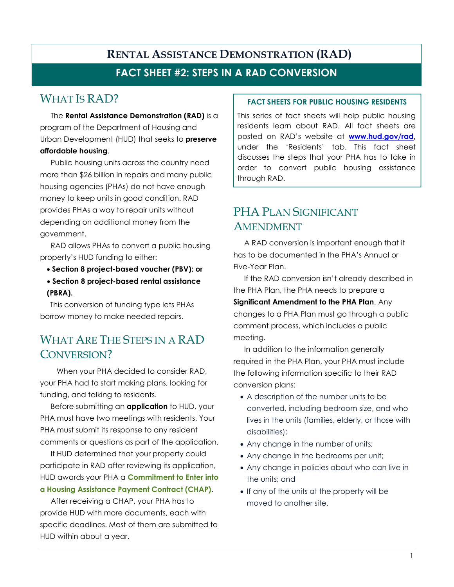#### **FACT SHEET #2: STEPS IN A RAD CONVERSION**

#### WHAT IS RAD?

The **Rental Assistance Demonstration (RAD)** is a program of the Department of Housing and Urban Development (HUD) that seeks to **preserve affordable housing**.

Public housing units across the country need more than \$26 billion in repairs and many public housing agencies (PHAs) do not have enough money to keep units in good condition. RAD provides PHAs a way to repair units without depending on additional money from the government.

RAD allows PHAs to convert a public housing property's HUD funding to either:

- **Section 8 project-based voucher (PBV); or**
- **Section 8 project-based rental assistance (PBRA).**

This conversion of funding type lets PHAs borrow money to make needed repairs.

### WHAT ARE THE STEPS IN A RAD CONVERSION?

When your PHA decided to consider RAD, your PHA had to start making plans, looking for funding, and talking to residents.

Before submitting an **application** to HUD, your PHA must have two meetings with residents. Your PHA must submit its response to any resident comments or questions as part of the application.

If HUD determined that your property could participate in RAD after reviewing its application, HUD awards your PHA a **Commitment to Enter into a Housing Assistance Payment Contract (CHAP)**.

After receiving a CHAP, your PHA has to provide HUD with more documents, each with specific deadlines. Most of them are submitted to HUD within about a year.

#### **FACT SHEETS FOR PUBLIC HOUSING RESIDENTS**

This series of fact sheets will help public housing residents learn about RAD. All fact sheets are posted on RAD's website at **www.hud.gov/rad,**  under the 'Residents' tab. This fact sheet discusses the steps that your PHA has to take in order to convert public housing assistance through RAD.

### PHA PLAN SIGNIFICANT AMENDMENT

A RAD conversion is important enough that it has to be documented in the PHA's Annual or Five-Year Plan.

If the RAD conversion isn't already described in the PHA Plan, the PHA needs to prepare a

**Significant Amendment to the PHA Plan**. Any changes to a PHA Plan must go through a public comment process, which includes a public meeting.

In addition to the information generally required in the PHA Plan, your PHA must include the following information specific to their RAD conversion plans:

- A description of the number units to be converted, including bedroom size, and who lives in the units (families, elderly, or those with disabilities);
- Any change in the number of units;
- Any change in the bedrooms per unit;
- Any change in policies about who can live in the units; and
- If any of the units at the property will be moved to another site.